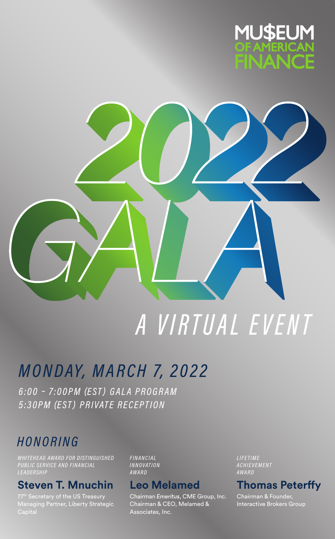



# A VIRTUAL EVENT

## *MONDAY, MARCH 7, 2022*

6:00 - 7:00PM (EST) GALA PROGRAM 5:30PM (EST) PRIVATE RECEPTION

## HONORING

WHITEHEAD AWARD FOR DISTINGUISHED **PUBLIC SERVICE AND FINANCIAL** 

#### **Steven T. Mnuchin**

Managing Partner, Liberty Strategic

**FINANCIAL INNOVATION** AWARD

#### **Leo Melamed**

Chairman Emeritus, CME Group, Inc. Chairman & CEO, Melamed & Associates, Inc.

LIFETIME **ACHIEVEMENT** AWARD

#### **Thomas Peterffy**

Chairman & Founder, Interactive Brokers Group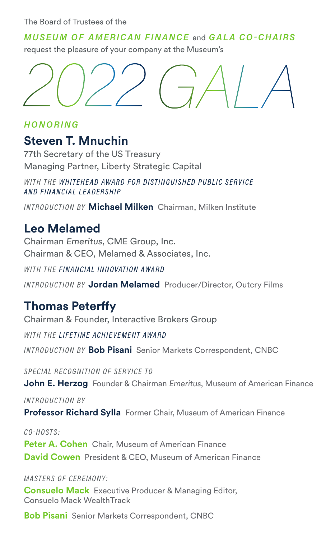The Board of Trustees of the

MUSEUM OF AMERICAN FINANCE and GALA CO-CHAIRS

request the pleasure of your company at the Museum's



HONORING

## **Steven T. Mnuchin**

77th Secretary of the US Treasury Managing Partner, Liberty Strategic Capital

WITH THE WHITEHEAD AWARD FOR DISTINGUISHED PUBLIC SERVICE AND FINANCIAL LEADERSHIP

INTRODUCTION BY **Michael Milken** Chairman, Milken Institute

## **Leo Melamed**

Chairman Emeritus, CME Group, Inc. Chairman & CEO, Melamed & Associates, Inc.

WITH THE FINANCIAL INNOVATION AWARD

INTRODUCTION BY **Jordan Melamed** Producer/Director, Outcry Films

## **Thomas Peterffy**

Chairman & Founder, Interactive Brokers Group

WITH THE LIFETIME ACHIEVEMENT AWARD

INTRODUCTION BY **Bob Pisani** Senior Markets Correspondent, CNBC

SPECIAL RECOGNITION OF SERVICE TO

**John E. Herzog** Founder & Chairman Emeritus, Museum of American Finance

INTRODUCTION BY

**Professor Richard Sylla** Former Chair, Museum of American Finance

CO-HOSTS: **Peter A. Cohen** Chair, Museum of American Finance **David Cowen** President & CEO, Museum of American Finance

MASTERS OF CEREMONY:

**Consuelo Mack** Executive Producer & Managing Editor, Consuelo Mack WealthTrack

**Bob Pisani** Senior Markets Correspondent, CNBC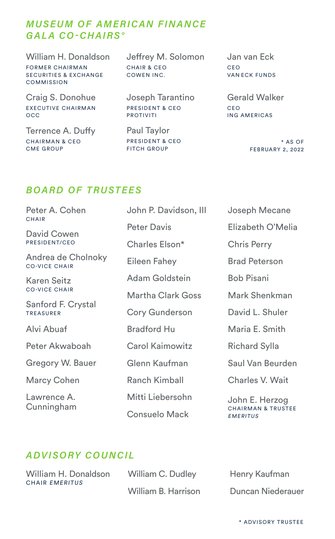#### MUSEUM OF AMERICAN FINANCE GALA CO-CHAIRS°

William H. Donaldson FORMER CHAIRMAN SECURITIES & EXCHANGE **COMMISSION** 

Craig S. Donohue EXECUTIVE CHAIRMAN OCC

Terrence A. Duffy CHAIRMAN & CEO CME GROUP

Jeffrey M. Solomon CHAIR & CEO COWEN INC.

Joseph Tarantino PRESIDENT & CEO PROTIVITI

Paul Taylor PRESIDENT & CEO FITCH GROUP

Jan van Eck CEO VAN ECK FUNDS

Gerald Walker CEO ING AMERICAS

> ° AS OF FEBRUARY 2, 2022

#### BOARD OF TRUSTEES

| Peter A. Cohen                               | John P. Davidson, III  | Joseph Mecane                                                       |  |
|----------------------------------------------|------------------------|---------------------------------------------------------------------|--|
| <b>CHAIR</b><br>David Cowen<br>PRESIDENT/CEO | <b>Peter Davis</b>     | Elizabeth O'Melia                                                   |  |
|                                              | Charles Elson*         | <b>Chris Perry</b>                                                  |  |
| Andrea de Cholnoky<br><b>CO-VICE CHAIR</b>   | Eileen Fahey           | <b>Brad Peterson</b>                                                |  |
| Karen Seitz                                  | Adam Goldstein         | <b>Bob Pisani</b>                                                   |  |
| <b>CO-VICE CHAIR</b>                         | Martha Clark Goss      | Mark Shenkman                                                       |  |
| Sanford F. Crystal<br><b>TREASURER</b>       | Cory Gunderson         | David L. Shuler                                                     |  |
| Alvi Abuaf                                   | <b>Bradford Hu</b>     | Maria E. Smith                                                      |  |
| Peter Akwaboah                               | <b>Carol Kaimowitz</b> | Richard Sylla                                                       |  |
| Gregory W. Bauer                             | Glenn Kaufman          | Saul Van Beurden                                                    |  |
| Marcy Cohen                                  | Ranch Kimball          | Charles V. Wait                                                     |  |
| Lawrence A.<br>Cunningham                    | Mitti Liebersohn       | John E. Herzog<br><b>CHAIRMAN &amp; TRUSTEE</b><br><b>FMERITIIS</b> |  |
|                                              | Consuelo Mack          |                                                                     |  |

#### ADVISORY COUNCIL

William H. Donaldson CHAIR EMERITUS

William C. Dudley William B. Harrison Henry Kaufman Duncan Niederauer

**EMERITUS** 

\* ADVISORY TRUSTEE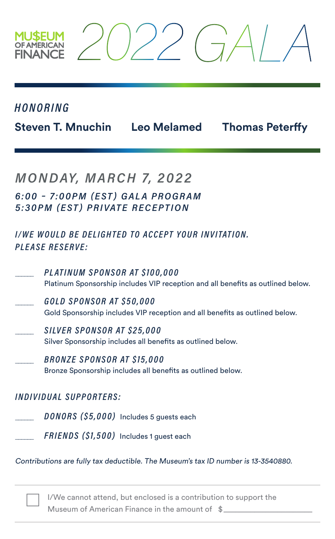#### HONORING

**Steven T. Mnuchin Leo Melamed Thomas Peterffy**

## MONDAY, MARCH 7, 2022

6:00 – 7:00PM (EST) GALA PROGRAM 5: 30 PM (EST) PRIVATE RECEPTION

#### I/WE WOULD BE DELIGHTED TO ACCEPT YOUR INVITATION. PLEASE RESERVE:

- PLATINUM SPONSOR AT \$100,000 Platinum Sponsorship includes VIP reception and all benefits as outlined below.
- \_\_\_\_\_\_ GOLD SPONSOR AT \$50,000 Gold Sponsorship includes VIP reception and all benefits as outlined below.
- \_\_\_\_\_\_ SILVER SPONSOR AT \$25,000 Silver Sponsorship includes all benefits as outlined below.
- \_\_\_\_\_\_ BRONZE SPONSOR AT \$15,000 Bronze Sponsorship includes all benefits as outlined below.

#### INDIVIDUAL SUPPORTERS:

- DONORS (\$5,000) Includes 5 guests each
- FRIENDS (\$1,500) Includes 1 guest each

Contributions are fully tax deductible. The Museum's tax ID number is 13-3540880.

I/We cannot attend, but enclosed is a contribution to support the Museum of American Finance in the amount of  $\quad$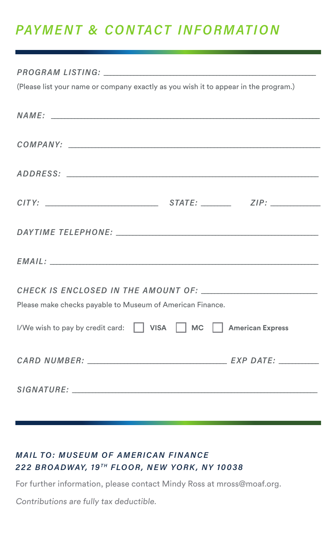## PAYMENT & CONTACT INFORMATION

# PROGRAM LISTING: \_\_\_\_\_\_\_\_\_\_\_\_\_\_\_\_\_\_\_\_\_\_\_\_\_\_\_\_\_\_\_\_\_\_\_\_\_\_\_\_\_\_\_\_\_\_\_\_\_\_\_\_\_\_\_\_\_\_\_\_\_\_\_\_ (Please list your name or company exactly as you wish it to appear in the program.) NAME: \_\_\_\_\_\_\_\_\_\_\_\_\_\_\_\_\_\_\_\_\_\_\_\_\_\_\_\_\_\_\_\_\_\_\_\_\_\_\_\_\_\_\_\_\_\_\_\_\_\_\_\_\_\_\_\_\_\_\_\_\_\_\_\_\_\_\_\_\_\_\_\_\_\_\_\_\_\_\_\_\_ COMPANY: \_\_\_\_\_\_\_\_\_\_\_\_\_\_\_\_\_\_\_\_\_\_\_\_\_\_\_\_\_\_\_\_\_\_\_\_\_\_\_\_\_\_\_\_\_\_\_\_\_\_\_\_\_\_\_\_\_\_\_\_\_\_\_\_\_\_\_\_\_\_\_\_\_\_\_\_ ADDRESS: \_\_\_\_\_\_\_\_\_\_\_\_\_\_\_\_\_\_\_\_\_\_\_\_\_\_\_\_\_\_\_\_\_\_\_\_\_\_\_\_\_\_\_\_\_\_\_\_\_\_\_\_\_\_\_\_\_\_\_\_\_\_\_\_\_\_\_\_\_\_\_\_\_\_\_\_ CITY: \_\_\_\_\_\_\_\_\_\_\_\_\_\_\_\_\_\_\_\_\_\_\_\_\_\_\_\_\_\_\_\_\_\_ STATE: \_\_\_\_\_\_\_\_\_ ZIP: \_\_\_\_\_\_\_\_\_\_\_\_\_\_\_ DAYTIME TELEPHONE: \_\_\_\_\_\_\_\_\_\_\_\_\_\_\_\_\_\_\_\_\_\_\_\_\_\_\_\_\_\_\_\_\_\_\_\_\_\_\_\_\_\_\_\_\_\_\_\_\_\_\_\_\_\_\_\_\_\_\_\_\_ EMAIL: \_\_\_\_\_\_\_\_\_\_\_\_\_\_\_\_\_\_\_\_\_\_\_\_\_\_\_\_\_\_\_\_\_\_\_\_\_\_\_\_\_\_\_\_\_\_\_\_\_\_\_\_\_\_\_\_\_\_\_\_\_\_\_\_\_\_\_\_\_\_\_\_\_\_\_\_\_\_\_\_\_ CHECK IS ENCLOSED IN THE AMOUNT OF: Please make checks payable to Museum of American Finance. I/We wish to pay by credit card:  $\Box$  VISA  $\Box$  MC  $\Box$  American Express CARD NUMBER:  $\begin{array}{cc} \text{CARD} & \text{NUMBER:} \end{array}$ SIGNATURE: \_\_\_\_\_\_\_\_\_\_\_\_\_\_\_\_\_\_\_\_\_\_\_\_\_\_\_\_\_\_\_\_\_\_\_\_\_\_\_\_\_\_\_\_\_\_\_\_\_\_\_\_\_\_\_\_\_\_\_\_\_\_\_\_\_\_\_\_\_\_\_\_\_\_

#### MAIL TO: MUSEUM OF AMERICAN FINANCE 222 BROADWAY, 19TH FLOOR, NEW YORK, NY 10038

For further information, please contact Mindy Ross at mross@moaf.org.

Contributions are fully tax deductible.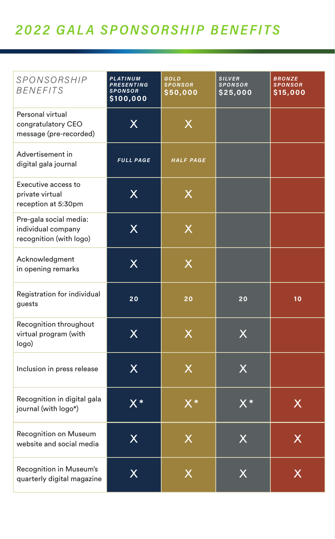## 2022 GALA SPONSORSHIP BENEFITS

| SPONSORSHIP<br><b>BENEFITS</b>                                          | PLATINUM<br><b>PRESENTING</b><br><b>SPONSOR</b><br>\$100,000 | GOLD<br><b>SPONSOR</b><br>\$50,000 | <b>SILVER</b><br>SPONSOR<br>\$25,000 | <b>BRONZE</b><br><b>SPONSOR</b><br>\$15,000 |
|-------------------------------------------------------------------------|--------------------------------------------------------------|------------------------------------|--------------------------------------|---------------------------------------------|
| Personal virtual<br>congratulatory CEO<br>message (pre-recorded)        | X                                                            | X                                  |                                      |                                             |
| Advertisement in<br>digital gala journal                                | <b>FULL PAGE</b>                                             | HALF PAGE                          |                                      |                                             |
| Executive access to<br>private virtual<br>reception at 5:30pm           | $\sf X$                                                      | X                                  |                                      |                                             |
| Pre-gala social media:<br>individual company<br>recognition (with logo) | X                                                            | X                                  |                                      |                                             |
| Acknowledgment<br>in opening remarks                                    | $\overline{\mathsf{X}}$                                      | X                                  |                                      |                                             |
| Registration for individual<br>guests                                   | 20                                                           | 20                                 | 20                                   | 10                                          |
| Recognition throughout<br>virtual program (with<br>logo)                | X                                                            | X                                  | X                                    |                                             |
| Inclusion in press release                                              | $\overline{\mathsf{X}}$                                      | X                                  | X                                    |                                             |
| Recognition in digital gala<br>journal (with logo*)                     | $\overline{X^*}$                                             | $X^*$                              | $\overline{X^*}$                     | X                                           |
| <b>Recognition on Museum</b><br>website and social media                | X                                                            | X                                  | X                                    | X                                           |
| Recognition in Museum's<br>quarterly digital magazine                   | X                                                            | X                                  | X                                    | x                                           |